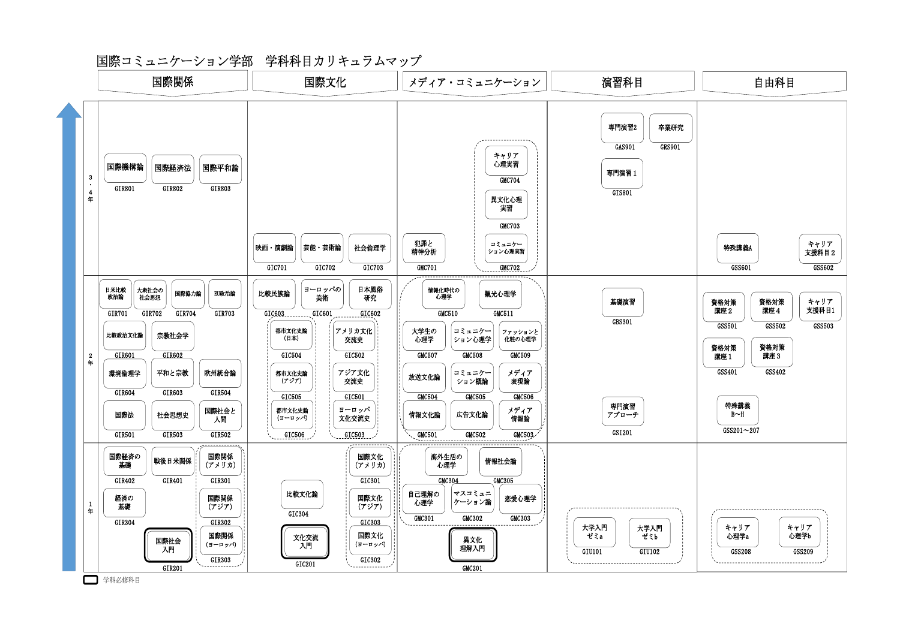## 国際コミュニケーション学部 学科科目カリキュラムマップ



学科必修科目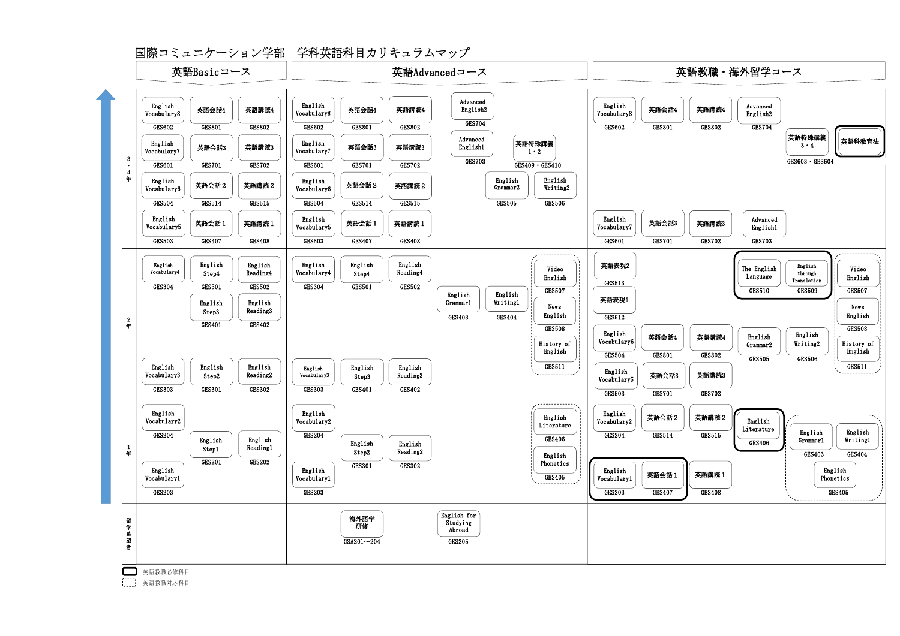国際コミュニケーション学部 学科英語科目カリキュラムマップ